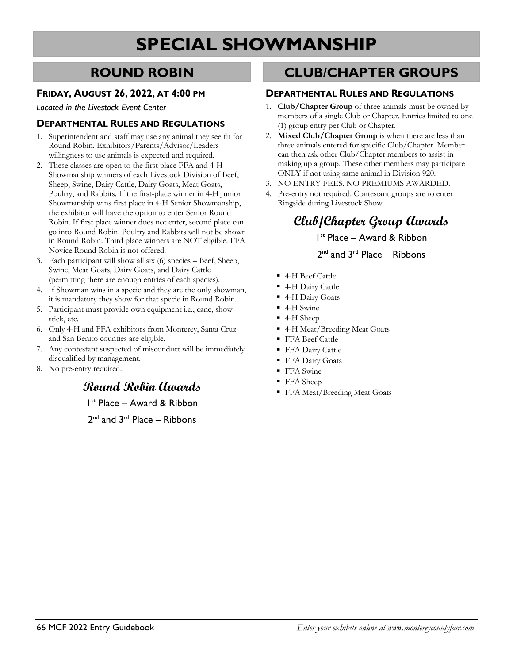# **SPECIAL SHOWMANSHIP**

### **ROUND ROBIN**

### **FRIDAY, AUGUST 26, 2022, AT 4:00 PM**

*Located in the Livestock Event Center*

### **DEPARTMENTAL RULES AND REGULATIONS**

- 1. Superintendent and staff may use any animal they see fit for Round Robin. Exhibitors/Parents/Advisor/Leaders willingness to use animals is expected and required.
- 2. These classes are open to the first place FFA and 4-H Showmanship winners of each Livestock Division of Beef, Sheep, Swine, Dairy Cattle, Dairy Goats, Meat Goats, Poultry, and Rabbits. If the first-place winner in 4-H Junior Showmanship wins first place in 4-H Senior Showmanship, the exhibitor will have the option to enter Senior Round Robin. If first place winner does not enter, second place can go into Round Robin. Poultry and Rabbits will not be shown in Round Robin. Third place winners are NOT eligible. FFA Novice Round Robin is not offered.
- 3. Each participant will show all six (6) species Beef, Sheep, Swine, Meat Goats, Dairy Goats, and Dairy Cattle (permitting there are enough entries of each species).
- 4. If Showman wins in a specie and they are the only showman, it is mandatory they show for that specie in Round Robin.
- 5. Participant must provide own equipment i.e., cane, show stick, etc.
- 6. Only 4-H and FFA exhibitors from Monterey, Santa Cruz and San Benito counties are eligible.
- 7. Any contestant suspected of misconduct will be immediately disqualified by management.
- 8. No pre-entry required.

### **Round Robin Awards**

1st Place – Award & Ribbon

2<sup>nd</sup> and 3<sup>rd</sup> Place – Ribbons

### **CLUB/CHAPTER GROUPS**

#### **DEPARTMENTAL RULES AND REGULATIONS**

- 1. **Club/Chapter Group** of three animals must be owned by members of a single Club or Chapter. Entries limited to one (1) group entry per Club or Chapter.
- 2. **Mixed Club/Chapter Group** is when there are less than three animals entered for specific Club/Chapter. Member can then ask other Club/Chapter members to assist in making up a group. These other members may participate ONLY if not using same animal in Division 920.
- 3. NO ENTRY FEES. NO PREMIUMS AWARDED.
- 4. Pre-entry not required. Contestant groups are to enter Ringside during Livestock Show.

# **Club/Chapter Group Awards**

1st Place – Award & Ribbon

#### $2<sup>nd</sup>$  and  $3<sup>rd</sup>$  Place – Ribbons

- 4-H Beef Cattle
- 4-H Dairy Cattle
- 4-H Dairy Goats
- 4-H Swine
- 4-H Sheep
- 4-H Meat/Breeding Meat Goats
- FFA Beef Cattle
- FFA Dairy Cattle
- FFA Dairy Goats
- FFA Swine
- FFA Sheep
- FFA Meat/Breeding Meat Goats